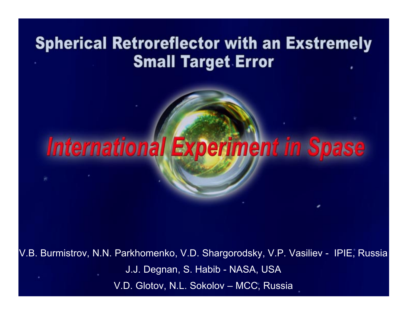## **Spherical Retroreflector with an Exstremely Small Target Error**

# **International Experiment in Spase**

V.B. Burmistrov, N.N. Parkhomenko, V.D. Shargorodsky, V.P. Vasiliev - IPIE, Russia J.J. Degnan, S. Habib - NASA, USA V.D. Glotov, N.L. Sokolov – MCC, Russia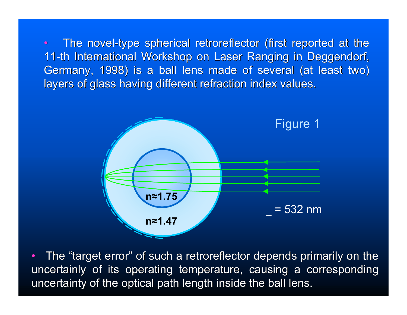$\bullet$ The novel-type spherical retroreflector (first reported at the 11-th International Workshop on Laser Ranging in Deggendorf, Germany, 1998) is a ball lens made of several (at least two) layers of glass having different refraction index values.



•The "target error" of such a retroreflector depends primarily on the uncertainly of its operating temperature, causing a corresponding uncertainty of the optical path length inside the ball lens.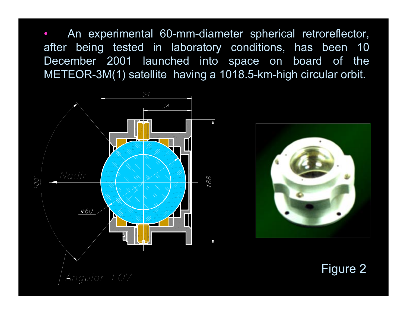• An experimental 60-mm-diameter spherical retroreflector, after being tested in laboratory conditions, has been 10 December 2001 launched into space on board of the METEOR-3M(1) satellite having a 1018.5-km-high circular orbit.





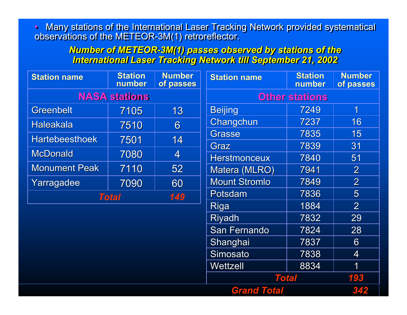• Many stations of the International Laser Tracking Network provided systematical observations of the METEOR-3M(1) retroreflector. • Many stations of the International Laser Tracking Network provided systematical observations of the METEOR-3M(1) retroreflector.

> *Number of METEOR-3M(1) passes observed by stations of the Number of METEOR-3M(1) passes observed by stations of the International Laser Tracking Network till September 21, 2002 International Laser Tracking Network till September 21, 2002*

| <b>Station name</b>   | <b>Station</b><br>number | <b>Number</b><br>of passes | <b>Station name</b>   | <b>Station</b><br>number | <b>Number</b><br>of passes |
|-----------------------|--------------------------|----------------------------|-----------------------|--------------------------|----------------------------|
| <b>NASA stations</b>  |                          |                            | <b>Other stations</b> |                          |                            |
| <b>Greenbelt</b>      | 7105                     | 13                         | <b>Beijing</b>        | 7249                     | $\overline{\mathbf{1}}$    |
| <b>Haleakala</b>      | 7510                     | 6                          | Changchun             | 7237                     | 16                         |
| <b>Hartebeesthoek</b> | 7501                     | 14                         | Grasse                | 7835                     | 15                         |
|                       |                          |                            | Graz                  | 7839                     | 31                         |
| <b>McDonald</b>       | 7080                     | $\blacktriangleleft$       | <b>Herstmonceux</b>   | 7840                     | 51                         |
| <b>Monument Peak</b>  | 7110                     | 52                         | Matera (MLRO)         | 7941                     | $\overline{2}$             |
| Yarragadee            | 7090                     | 60                         | <b>Mount Stromlo</b>  | 7849                     | $\overline{2}$             |
| <b>Total</b>          |                          | 149                        | Potsdam               | 7836                     | $5\overline{)}$            |
|                       |                          |                            | <b>Riga</b>           | 1884                     | $\overline{2}$             |
|                       |                          |                            | <b>Riyadh</b>         | 7832                     | 29                         |
|                       |                          |                            | <b>San Fernando</b>   | 7824                     | 28                         |
|                       |                          |                            | Shanghai              | 7837                     | $6 \overline{6}$           |
|                       |                          |                            | <b>Simosato</b>       | 7838                     | $\overline{4}$             |
|                       |                          |                            | Wettzell              | 8834                     | 1                          |
|                       |                          |                            |                       | <b>Total</b>             | 193                        |
|                       |                          |                            | <b>Grand Total</b>    |                          | 342                        |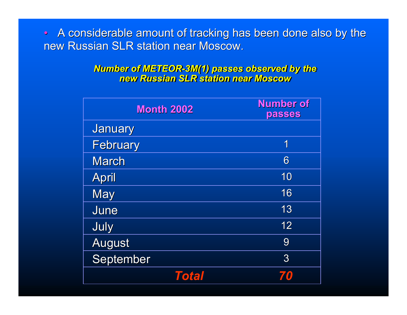$\bullet$ A considerable amount of tracking has been done also by the new Russian SLR station near Moscow.

> *Number of METEOR-3M(1) passes observed by the new Russian SLR station near Moscow Number of METEOR-3M(1) passes observed by the new Russian SLR station near Moscow*

| <b>Month 2002</b> | <b>Number of</b><br>passes |
|-------------------|----------------------------|
| <b>January</b>    |                            |
| <b>February</b>   | 1                          |
| <b>March</b>      | 6                          |
| <b>April</b>      | 10                         |
| <b>May</b>        | 16                         |
| June              | 13                         |
| July              | 12                         |
| <b>August</b>     | 9                          |
| September         | 3                          |
| Total             |                            |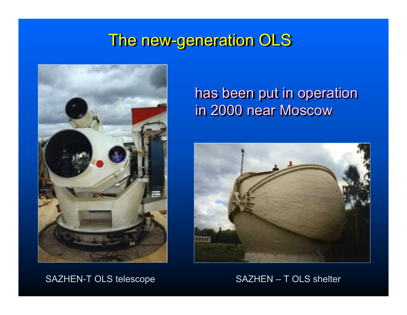### The new-generation OLS



#### has been put in operation has been put in operation has been put in operation in 2000 near Moscow in 2000 near Moscow in 2000 near Moscow



#### SAZHEN-T OLS telescope SAZHEN-T OLS shelter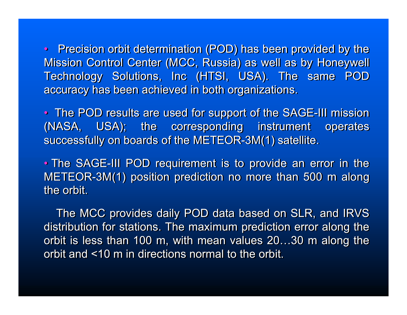• Precision orbit determination (POD) has been provided by the • Precision orbit determination (POD) has been provided by the Mission Control Center (MCC, Russia) as well as by Honeywell Mission Control Center (MCC, Russia) as well as by Honeywell Technology Solutions, Inc (HTSI, USA). The same POD Technology Solutions, Inc (HTSI, USA). The same POD accuracy has been achieved in both organizations. accuracy has been achieved in both organizations.

• The POD results are used for support of the SAGE-III mission • The POD results are used for support of the SAGE-III mission (NASA, USA); the corresponding instrument operates (NASA, USA); the corresponding instrument operates successfully on boards of the METEOR-3M(1) satellite. successfully on boards of the METEOR-3M(1) satellite.

• The SAGE-III POD requirement is to provide an error in the • The SAGE-III POD requirement is to provide an error in the METE OR-3M(1) position prediction no more than 500 m along METE OR-3M(1) position prediction no more than 500 m along the orbit. the orbit.

The MCC provides daily POD data based on SLR, and IRVS The MCC provides daily POD data based on SLR, and IRVS distribution for stations. The maximum prediction error along the distribution for stations. The maximum prediction error along the orbit is less than 100 m, with mean values 20…30 m along the orbit is less than 100 m, with mean values 20…30 m along the orbit and <10 m in directions normal to the orbit. orbit and <10 m in directions normal to the orbit.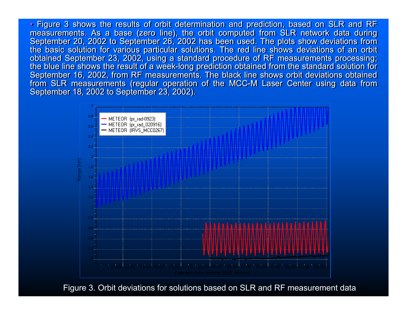• Figure 3 shows the results of orbit determination and prediction, based on SLR and RF • Figure 3 shows the results of orbit determination and prediction, based on SLR and RF measurements. As a base (zero line), the orbit computed from SLR network data during measurements. As a base (zero line), the orbit computed from SLR network data during September 20, 2002 to September 26, 2002 has been used. The plots show deviations from September 20, 2002 to September 26, 2002 has been used. The plots show deviations from the basic solution for various particular solutions. The red line shows deviations of an orbit the basic solution for various particular solutions. The red line shows deviations of an orbit obtained September 23, 2002, using a standard procedure of RF measurements processing; obtained September 23, 2002, using a standard procedure of RF measurements processing; the blue line shows the result of a week-long prediction obtained from the standard solution for the blue line shows the result of a week-long prediction obtained from the standard solution for September 16, 2002, from RF measurements. The black line shows orbit deviations obtained September 16, 2002, from RF measurements. The black line shows orbit deviations obtained from SLR measurements (regular operation of the MCC-M Laser Center using data from from SLR measurements (regular operation of the MCC-M Laser Center using data from September 18, 2002 to September 23, 2002). September 18, 2002 to September 23, 2002).



Figure 3. Orbit deviations for solutions based on SLR and RF measurement data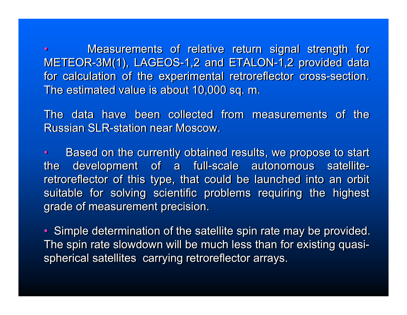• Measurements of relative return signal strength for Measurements of relative return signal strength for METE OR-3M(1), LAGEOS-1,2 and ETALON-1,2 provided data METE OR-3M(1), LAGEOS-1,2 and ETALON-1,2 provided data for calculation of the experimental retroreflector cross-section. for calculation of the experimental retroreflector cross-section. The estimated value is about 10,000 sq. m. The estimated value is about 10,000 sq. m. •

The data have been collected from measurements of the The data have been collected from measurements of the Russian SLR-station near Moscow. Russian SLR-station near Moscow.

• Based on the currently obtained results, we propose to start Based on the currently obtained results, we propose to start the development of a full-scale autonomous satellite-the development of a full-scale autonomous satelliteretroreflector of this type, that could be launched into an orbit retroreflector of this type, that could be launched into an orbit suitable for solving scientific problems requiring the highest suitable for solving scientific problems requiring the highest grade of measurement precision. grade of measurement precision.  $\bullet$ 

• Simple determination of the satellite spin rate may be provided. • Simple determination of the satellite spin rate may be provided. The spin rate slowdown will be much less than for existing quasi-The spin rate slowdown will be much less than for existing quasispherical satellites carrying retroreflector arrays. spherical satellites carrying retroreflector arrays.